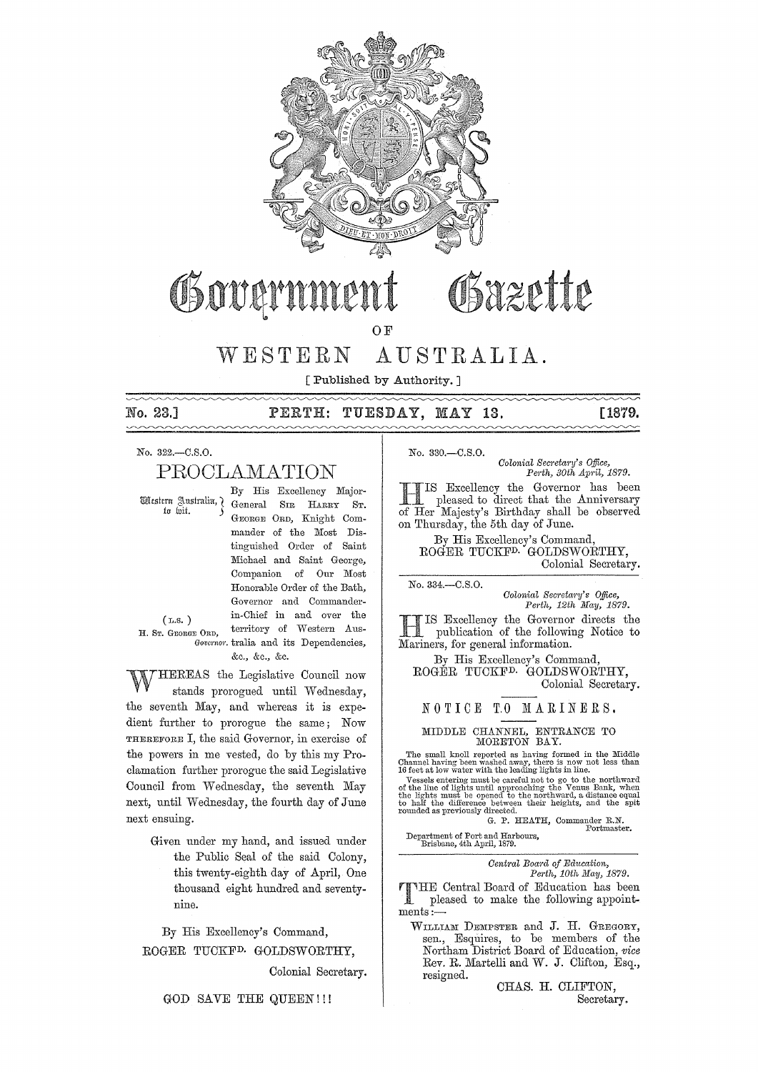

# Sazette Governme

 $O<sub>F</sub>$ 

#### WESTERN AUSTRALIA.

[Published by Authority.]

No. 23.1

#### $\mathtt{PERTH:}$ TUESDAY, MAY 13.

## [1879.

No. 322,-C.S.O.

## PROCLAMATION

Western Australia, 7 in hii.

By His Excellency Major-General SIR HARRY ST. GEORGE ORD, Knight Commander of the Most Distinguished Order of Saint Michael and Saint George, Companion of Our Most Honorable Order of the Bath, Governor and Commanderin-Chief in and over the territory of Western Aus-Governor. tralia and its Dependencies, &c., &c., &c.

 $(T.S.)$ H. Sr. GEORGE ORD,

HEREAS the Legislative Council now stands prorogued until Wednesday, the seventh May, and whereas it is expedient further to prorogue the same; Now THEREFORE I, the said Governor, in exercise of the powers in me vested, do by this my Proclamation further prorogue the said Legislative Council from Wednesday, the seventh May next, until Wednesday, the fourth day of June next ensuing.

Given under my hand, and issued under the Public Seal of the said Colony, this twenty-eighth day of April, One thousand eight hundred and seventynine.

By His Excellency's Command, ROGER TUCKF<sup>D.</sup> GOLDSWORTHY,

Colonial Secretary.

No. 330.-C.S.O.

Colonial Secretary's Office. Perth, 30th April, 1879.

IS Excellency the Governor has been pleased to direct that the Anniversary of Her Majesty's Birthday shall be observed on Thursday, the 5th day of June.

By His Excellency's Command,<br>ROGER TUCKF<sup>D.</sup> GOLDSWORTHY, Colonial Secretary.

No. 334 .- C.S.O.

Colonial Secretary's Office,<br>Perth, 12th May, 1879.

IS Excellency the Governor directs the publication of the following Notice to Mariners, for general information.

By His Excellency's Command, ROGER TUCKF<sup>D.</sup> GOLDSWORTHY, Colonial Secretary.

## NOTICE TO MARINERS.

# MIDDLE CHANNEL, ENTRANCE TO MORETON BAY.

The small knoll reported as having formed in the Middle<br>Channel having been washed away, there is now not less than<br>16 feet at low water with the leading lights in line.<br>Vessels entering must be careful not to go to the no rounded as previously directed.

G. P. HEATH, Commander R.N. Portmaster.

Department of Port and Harbours,<br>Brisbane, 4th April, 1879.

Central Board of Education, Perth, 10th May, 1879.

THE Central Board of Education has been pleased to make the following appointments:

WILLIAM DEMPSTER and J. H. GREGORY, sen., Esquires, to be members of the Northam District Board of Education, vice Rev. R. Martelli and W. J. Clifton, Esq., resigned.

CHAS. H. CLIFTON,

Secretary.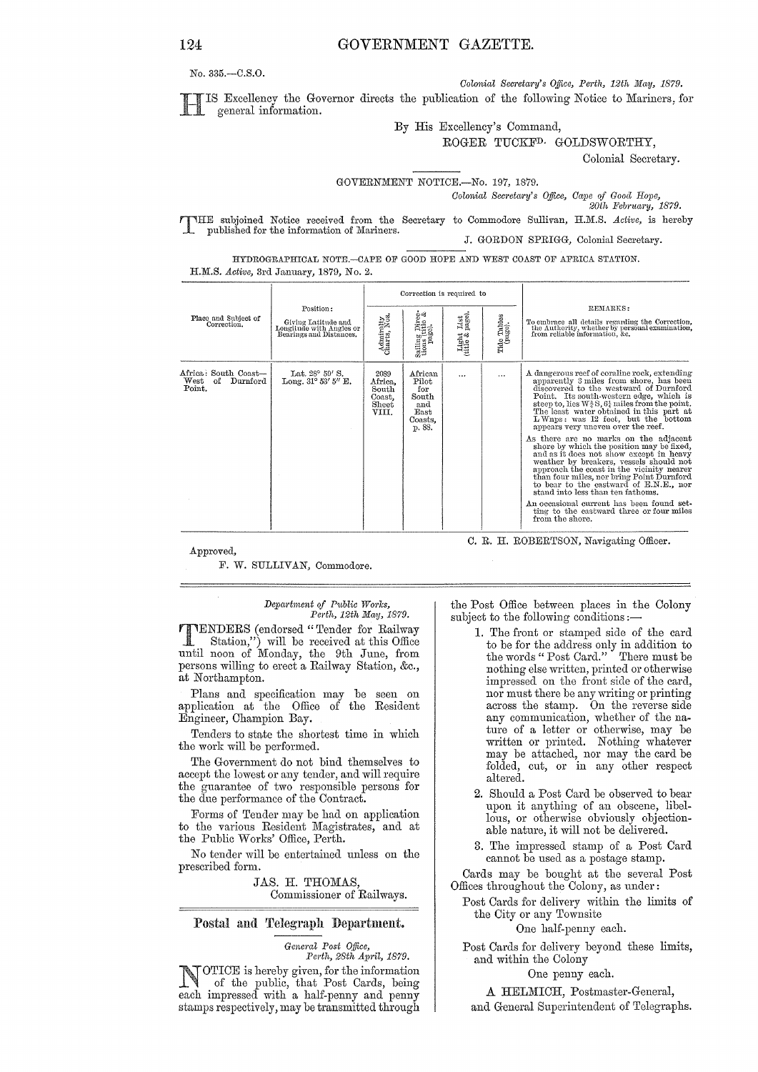*Colonial Secretary's Office, Perth, 12th May, 1879.* 

IS Excellency the Governor directs the publication of the following Notice to Mariners, for general information.

By His Excellency's Command,

ROGER TUCKFD. GOLDSWORTHY,

Colonial Secretary.

### GOVERNMENT NOTICE.-No. 197, 1879.

*Colonial Secretary's Office, Cape of Good Hope,* 

20th February, 1879.

T HE subjoined Notice received from the Secretary to Commodore Sullivan, H.JILS. *Active,* is hereby published for the information of Mariners. J. GORDON SPRIGG, Colonial Secretary.

HYDROGRAPHICAL NOTE.-CAPE OF GOOD HOPE AND WEST COAST OF AFRICA STATION. H.M.S. *Active,* 3rd January, 1879, No. 2.

|                                                          |                                                                                         |                                                      | Correction is required to                                            |                                    |                        |                                                                                                                                                                                                                                                                                                                                                                                                                                                                                                                                                                                                                                                                                                                                                                                                                                         |  |
|----------------------------------------------------------|-----------------------------------------------------------------------------------------|------------------------------------------------------|----------------------------------------------------------------------|------------------------------------|------------------------|-----------------------------------------------------------------------------------------------------------------------------------------------------------------------------------------------------------------------------------------------------------------------------------------------------------------------------------------------------------------------------------------------------------------------------------------------------------------------------------------------------------------------------------------------------------------------------------------------------------------------------------------------------------------------------------------------------------------------------------------------------------------------------------------------------------------------------------------|--|
| Place and Subject of<br>Correction.                      | Position:<br>Giving Latitude and<br>Longitude with Angles or<br>Bearings and Distances. | Admiralty<br>Charts, Nos.                            | Sailing Direc-<br>tions (title &<br>page).                           | List<br>page)<br>Light<br>(title & | Tide Tables<br>(page). | REMARKS:<br>To embrace all details regarding the Correction,<br>the Authority, whether by personal examination,<br>from reliable information, &c.                                                                                                                                                                                                                                                                                                                                                                                                                                                                                                                                                                                                                                                                                       |  |
| Africa: South Coast—<br>West<br>of<br>Durnford<br>Point. | Lat. 28° 59' S.<br>Long, $31^{\circ}$ 53' 5" E.                                         | 2089<br>Africa,<br>South<br>Coast.<br>Sheet<br>VIII. | African<br>Pilot<br>for<br>South<br>and<br>East<br>Coasts,<br>p. 88. |                                    | $\cdots$               | A dangerous reef of coraline rock, extending<br>apparently 3 miles from shore, has been<br>discovered to the westward of Durnford<br>Point. Its south-western edge, which is<br>steep to, lies $W_3^3S$ , $6\frac{1}{4}$ miles from the point.<br>The least water obtained in this part at<br>LWnps: was 12 feet, but the bottom<br>appears very uneven over the reef.<br>As there are no marks on the adjacent<br>shore by which the position may be fixed,<br>and as it does not show except in heavy<br>weather by breakers, vessels should not<br>approach the coast in the vicinity nearer<br>than four miles, nor bring Point Durnford<br>to bear to the eastward of E.N.E., nor<br>stand into less than ten fathoms.<br>An occasional current has been found set-<br>ting to the eastward three or four miles<br>from the shore. |  |

Approved,

F. W. SULLIVAN, Commodore.

C. R. H. ROBERTSON, Navigating Officer.

#### *Depal'tntent of Public Works, Petth, 12th May, 1879.*

**TTENDERS** (endorsed "Tender for Railway<br>
Station,") will be received at this Office until noon of Monday, the 9th June, from persons willing to erect a Railway Station, &c., at Northampton.

Plans and specification may be seen on application at the Office of the Resident Engineer, Champion Bay.

Tenders to state the shortest time in which the work will be performed.

The Government do not bind themselves to accept the lowest or any tender, and will require the guarantee of two responsible persons for the due performance of the Contract.

Forms of Tender may be had on application to the various Resident Magistrates, and at the Public Works' Office, Perth.

No tender will be entertained unless on the prescribed form.

> JAS. H. THOMAS, Commissioner of Railways.

## Postal and Telegraph Department.

*General Post Office, Perth, 28th April, 1879.* 

**NOTICE** is hereby given, for the information<br>of the public, that Post Cards, being each impressed with a half-penny and penny stamps respectively, may be transmitted through

the Post Office between places in the Colony subject to the following conditions:-

- 1. The front or stamped side of the card to be for the address only in addition to the words" Post Card." There must be nothing else written, printed or otherwise<br>impressed on the front side of the card, nor must there be any writing or printing across the stamp. On the reverse side<br>any communication, whether of the naany communication, whether of the na- ture of a letter or otherwise, may be written or printed. Nothing whatever may be attached, nor may the card be folded, cut, or in any other respect altered.
- 2. Should a Post Card be observed to bear upon it anything of an obscene, libellous, or otherwise obviously objectionable nature, it will not be delivered.
- 3. The impressed stamp of a Post Card cannot be used as a postage stamp.

Cards may be bought at the several Post Offices throughout the Colony, as under:

Post Cards for delivery within the limits of the City or any Townsite

One half-penny each.

Post Cards for delivery beyond these limits, and within the Colony

One penny each.

A HELMICH, Postmaster-General,

and General Superintendent of Telegraphs.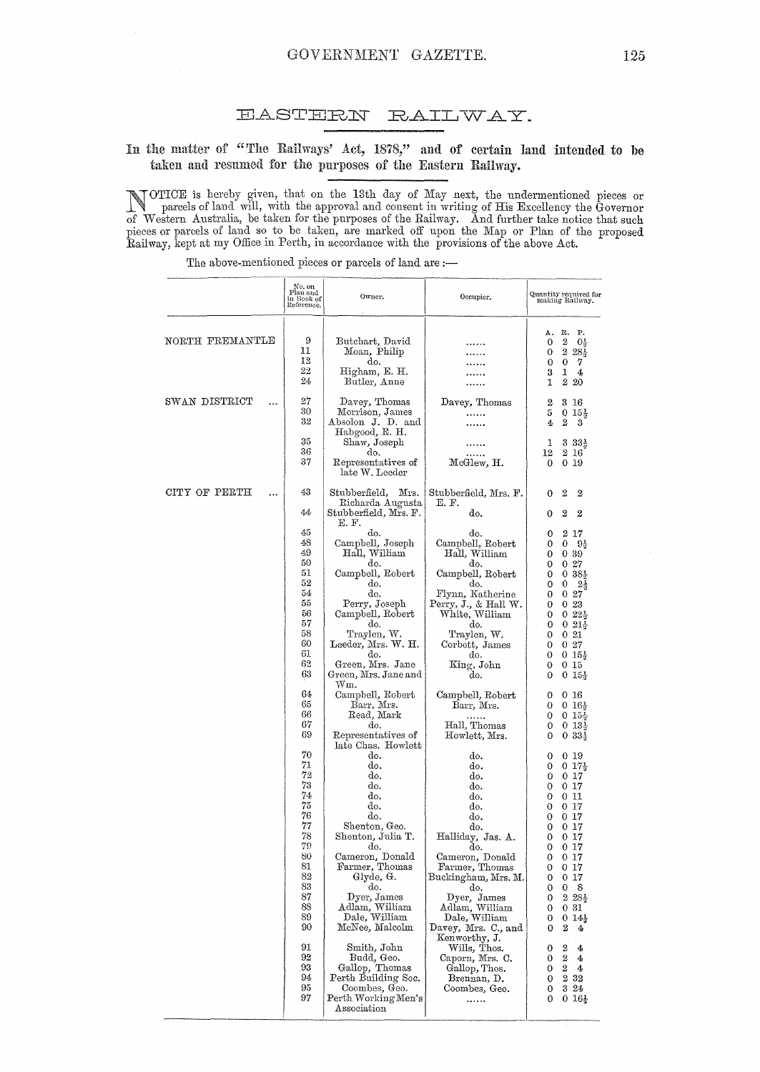#### **EASTERN** RAILWAY.

# In the matter of "The Railways' Act, 1878," and of certain land intended to be taken and resumed for the purposes of the Eastern Railway.

NOTICE is hereby given, that on the 13th day of May next, the undermentioned pieces or parcels of land will, with the approval and consent in writing of His Excellency the Governor of Western Australia, be taken for the pu

The above-mentioned pieces or parcels of land are :-

|                           | $\begin{array}{c} \text{No. on}\\ \text{Plan and}\\ \text{in Book of}\\ \text{Reference}. \end{array}$                                                                                                                                                               | Owner.                                                                                                                                                                                                                                                                                                                                                                                                                                                                                                                                                                                                                                                                                                                     | Occupier.                                                                                                                                                                                                                                                                                                                                                                                                                                                                                                                                                                                                                |                                                                                                                                                                                                                                                                                                                                                                                                                                                                                                                                                                                                                                                                                                                                                                                                                 |
|---------------------------|----------------------------------------------------------------------------------------------------------------------------------------------------------------------------------------------------------------------------------------------------------------------|----------------------------------------------------------------------------------------------------------------------------------------------------------------------------------------------------------------------------------------------------------------------------------------------------------------------------------------------------------------------------------------------------------------------------------------------------------------------------------------------------------------------------------------------------------------------------------------------------------------------------------------------------------------------------------------------------------------------------|--------------------------------------------------------------------------------------------------------------------------------------------------------------------------------------------------------------------------------------------------------------------------------------------------------------------------------------------------------------------------------------------------------------------------------------------------------------------------------------------------------------------------------------------------------------------------------------------------------------------------|-----------------------------------------------------------------------------------------------------------------------------------------------------------------------------------------------------------------------------------------------------------------------------------------------------------------------------------------------------------------------------------------------------------------------------------------------------------------------------------------------------------------------------------------------------------------------------------------------------------------------------------------------------------------------------------------------------------------------------------------------------------------------------------------------------------------|
| NORTH FREMANTLE           | 9<br>11<br>12<br>22<br>24                                                                                                                                                                                                                                            | Butchart, David<br>Moan, Philip<br>do.<br>Higham, E. H.<br>Butler, Anne                                                                                                                                                                                                                                                                                                                                                                                                                                                                                                                                                                                                                                                    |                                                                                                                                                                                                                                                                                                                                                                                                                                                                                                                                                                                                                          | R.<br>Ρ.<br>Α.<br>$\boldsymbol{2}$<br>0<br>$0\frac{1}{2}$<br>$228\frac{1}{3}$<br>0<br>$\bf{0}$<br>7<br>0<br>3<br>1<br>4<br>2 20<br>1                                                                                                                                                                                                                                                                                                                                                                                                                                                                                                                                                                                                                                                                            |
| SWAN DISTRICT<br>         | 27<br>30<br>32<br>35                                                                                                                                                                                                                                                 | Davey, Thomas<br>Morrison, James<br>Absolon J. D. and<br>Habgood, R. H.<br>Shaw, Joseph                                                                                                                                                                                                                                                                                                                                                                                                                                                                                                                                                                                                                                    | Davey, Thomas<br>.<br>.                                                                                                                                                                                                                                                                                                                                                                                                                                                                                                                                                                                                  | $\overline{2}$<br>3 16<br>5<br>$0\;15\frac{1}{2}$<br>$\boldsymbol{2}$<br>4<br>3<br>$33\frac{1}{2}$<br>ı                                                                                                                                                                                                                                                                                                                                                                                                                                                                                                                                                                                                                                                                                                         |
|                           | 36<br>37                                                                                                                                                                                                                                                             | do.<br>Representatives of<br>late W. Leeder                                                                                                                                                                                                                                                                                                                                                                                                                                                                                                                                                                                                                                                                                | $_{\rm McGlew, \ H.}$                                                                                                                                                                                                                                                                                                                                                                                                                                                                                                                                                                                                    | 12<br>2 16<br>0<br>019                                                                                                                                                                                                                                                                                                                                                                                                                                                                                                                                                                                                                                                                                                                                                                                          |
| CITY OF PERTH<br>$\cdots$ | 43<br>44                                                                                                                                                                                                                                                             | Stubberfield,<br>Mrs.<br>Richarda Augusta<br>Stubberfield, Mrs. F.                                                                                                                                                                                                                                                                                                                                                                                                                                                                                                                                                                                                                                                         | Stubberfield, Mrs. F.<br>E. F.<br>do.                                                                                                                                                                                                                                                                                                                                                                                                                                                                                                                                                                                    | 2<br>2<br>0<br>$\overline{2}$<br>$\boldsymbol{2}$<br>0                                                                                                                                                                                                                                                                                                                                                                                                                                                                                                                                                                                                                                                                                                                                                          |
|                           | 45<br>48<br>49<br>50<br>51<br>52<br>54<br>55<br>56<br>57<br>58<br>60<br>61<br>62<br>63<br>64<br>65<br>66<br>67<br>69<br>70<br>71<br>72<br>73<br>74<br>75<br>76<br>77<br>78<br>79<br>80<br>81<br>82<br>83<br>87<br>88<br>89<br>90<br>91<br>92<br>93<br>94<br>95<br>97 | E.F.<br>do.<br>Campbell, Joseph<br>Hall, William<br>do.<br>Campbell, Robert<br>do.<br>do.<br>Perry, Joseph<br>Campbell, Robert<br>do.<br>Traylen, W.<br>Leeder, Mrs. W. H.<br>do.<br>Green, Mrs. Jane<br>Green, Mrs. Jane and<br>$\operatorname{Wm}.$<br>Campbell, Robert<br>Barr, Mrs.<br>Read, Mark<br>do.<br>Representatives of<br>late Chas. Howlett<br>do.<br>do.<br>do.<br>do.<br>do.<br>do.<br>do.<br>Shenton, Geo.<br>Shenton, Julia T.<br>do.<br>Cameron, Donald<br>Farmer, Thomas<br>Glyde, G.<br>do.<br>Dyer, James<br>Adlam, William<br>Dale, William<br>McNee, Malcolm<br>Smith, John<br>Budd, Geo.<br>Gallop, Thomas<br>Perth Building Soc.<br>Coombes, Geo.<br>$\rm{Perth}\,Working\,$ Men's<br>Association | do.<br>Campbell, Robert<br>Hall, William<br>do.<br>Campbell, Robert<br>do.<br>Flynn, Katherine<br>Perry, J., & Hall W.<br>White, William<br>do.<br>Traylen, W.<br>Corbett, James<br>do.<br>King, John<br>do.<br>Campbell, Robert<br>Barr, Mrs.<br>Hall, Thomas<br>Howlett, Mrs.<br>do.<br>do.<br>do.<br>do.<br>do.<br>do.<br>do.<br>do.<br>Halliday, Jas. A.<br>do.<br>Cameron, Donald<br>Farmer, Thomas<br>Buckingham, Mrs. M.<br>do.<br>Dyer, James<br>Adlam, William<br>Dale, William<br>Davey, Mrs. C., and<br>Kenworthy, J.<br>Wills, Thos.<br>Caporn, Mrs. C.<br>Gallop, Thos.<br>Brennan, D.<br>Coombes, Geo.<br> | 217<br>0<br>0<br>0<br>94<br>0<br>0 39<br>027<br>0<br>0<br>$0.38\frac{1}{2}$<br>$2\frac{1}{2}$<br>0<br>0<br>0<br>027<br>0<br>023<br>$0.22\frac{1}{3}$<br>0<br>0<br>$0.21\frac{1}{2}$<br>021<br>0<br>027<br>0<br>$\overline{0}$<br>$0.15\frac{1}{3}$<br>0<br>0 15<br>0<br>$015\frac{1}{3}$<br>0 16<br>0<br>0<br>$0.16\frac{1}{2}$<br>$015\frac{1}{2}$<br>0<br>$0.13\frac{1}{3}$<br>0<br>$0.33\frac{1}{3}$<br>0<br>0 19<br>0<br>0<br>$0.17\frac{1}{3}$<br>017<br>0<br>017<br>0<br>0<br>011<br>$0\,17$<br>0<br>0 17<br>0<br>017<br>0<br>017<br>0<br>$-0$ 17<br>0<br>0<br>$0\,17$<br>017<br>0<br>017<br>0<br>0<br>0<br>8<br>$228\frac{1}{2}$<br>0<br>0<br>0 31<br>0<br>$014\frac{1}{2}$<br>2<br>0<br>4<br>$\boldsymbol{2}$<br>0<br>4<br>2<br>0<br>4<br>2<br>4<br>0<br>232<br>0<br>3 24<br>0<br>$016\frac{1}{2}$<br>0 |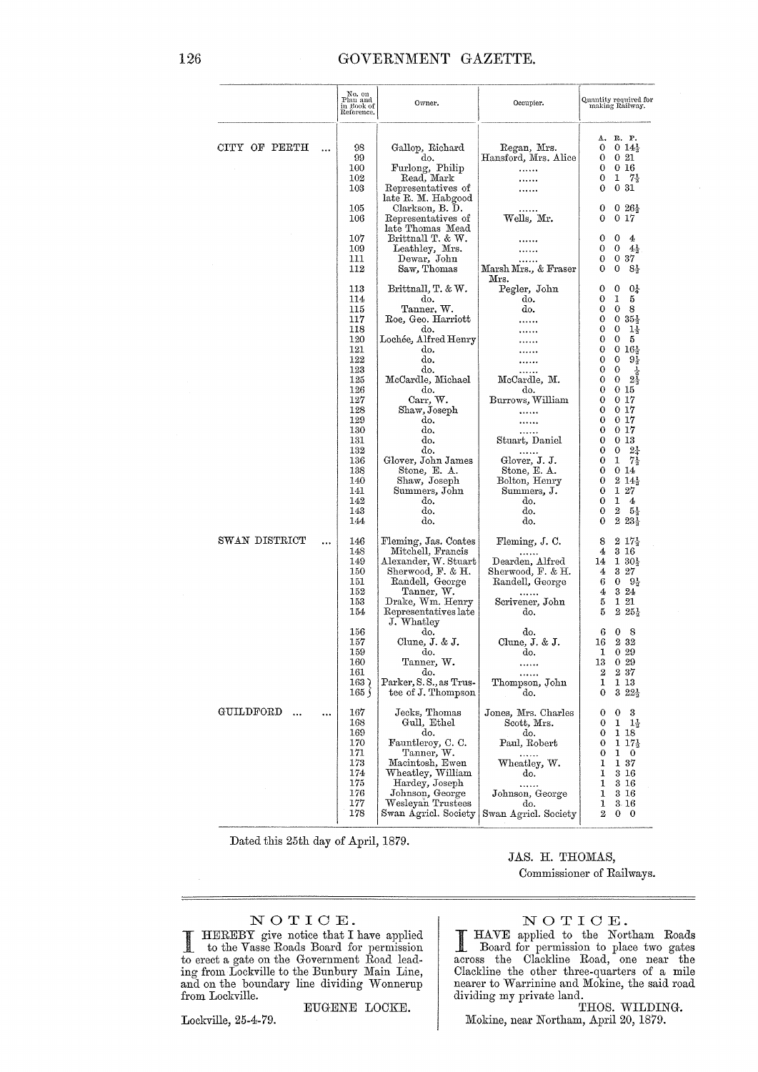|                        |           | No. on<br>Plan and<br>in Book of<br>Reference.                            | Owner.<br>Occupier.                                                                                                                                                                              |                                                                                                                                                     | Quantity required for<br>making Railway.                                                                                                                                              |
|------------------------|-----------|---------------------------------------------------------------------------|--------------------------------------------------------------------------------------------------------------------------------------------------------------------------------------------------|-----------------------------------------------------------------------------------------------------------------------------------------------------|---------------------------------------------------------------------------------------------------------------------------------------------------------------------------------------|
| CITY OF PERTH          | $\ddotsc$ | 98<br>99<br>100<br>102<br>103                                             | Gallop, Richard<br>do.<br>Furlong, Philip<br>Read, Mark<br>Representatives of<br>late R. M. Habgood                                                                                              | Regan, Mrs.<br>Hansford, Mrs. Alice                                                                                                                 | R. P.<br>Α.<br>$0.14\frac{1}{3}$<br>0<br>$0\,21$<br>0<br>0 16<br>0<br>1<br>7 <sub>3</sub><br>0<br>031<br>0                                                                            |
|                        |           | 105<br>106<br>107                                                         | Clarkson, B. D.<br>Representatives of<br>late Thomas Mead<br>Brittnall T. & W.                                                                                                                   | Wells, Mr.                                                                                                                                          | $0.26\frac{1}{3}$<br>0<br>0 17<br>0<br>0<br>0<br>4                                                                                                                                    |
|                        |           | 109<br>111<br>112                                                         | Leathley, Mrs.<br>Dewar, John<br>Saw, Thomas                                                                                                                                                     | Marsh Mrs., & Fraser<br>Mrs.                                                                                                                        | 0<br>0<br>$4\frac{1}{3}$<br>037<br>0<br>0<br>8÷<br>0                                                                                                                                  |
|                        |           | 113<br>114<br>115<br>117<br>118<br>120<br>121<br>122                      | Brittnall, T. & W.<br>do.<br>Tanner, W.<br>Roe, Geo. Harriott<br>do.<br>Lochée, Alfred Henry<br>do.<br>do.                                                                                       | Pegler, John<br>do.<br>do.                                                                                                                          | 04<br>0<br>0<br>1<br>5<br>0<br>$\mathbf 0$<br>8<br>0<br>0<br>0<br>$35\frac{1}{2}$<br>0<br>0<br>$1\frac{1}{3}$<br>0<br>0<br>5<br>0<br>0<br>$16\frac{1}{3}$<br>0<br>0<br>$9\frac{1}{2}$ |
|                        |           | 123<br>125<br>126<br>127<br>128<br>129<br>130<br>131<br>132               | do.<br>McCardle, Michael<br>do.<br>Carr, W.<br>Shaw, Joseph<br>do.<br>do.<br>do.<br>do.                                                                                                          | McCardle, M.<br>do.<br>Burrows, William<br>Stuart, Daniel<br>.                                                                                      | 0<br>0<br>$2\frac{1}{9}$<br>0<br>0<br>015<br>0<br>0<br>017<br>0.17<br>0<br>0<br>0 17<br>0<br>0.17<br>0 <sub>13</sub><br>0<br>0<br>$2\frac{1}{4}$<br>0                                 |
|                        |           | 136<br>138<br>140<br>141<br>142<br>143<br>144                             | Glover, John James<br>Stone, E. A.<br>Shaw, Joseph<br>Summers, John<br>do.<br>do.<br>do.                                                                                                         | Glover, J. J.<br>Stone, E. A.<br>Bolton, Henry<br>Summers, J.<br>do.<br>do.<br>do.                                                                  | 0<br>1<br>7.<br>0<br>0 14<br>$214\frac{1}{3}$<br>0<br>1<br>27<br>0<br>0<br>1<br>4<br>2<br>$5\frac{1}{3}$<br>0<br>$2\,23\frac{1}{2}$<br>0                                              |
| SWAN DISTRICT          |           | 146<br>148<br>149<br>150<br>151<br>152<br>153<br>154                      | Fleming, Jas. Coates<br>Mitchell, Francis<br>Alexander, W. Stuart<br>Sherwood, F. & H.<br>Randell, George<br>Tanner, W.<br>Drake, Wm. Henry<br>Representatives late<br>J. Whatley                | Fleming, J. C.<br>Dearden, Alfred<br>Sherwood, F. & H.<br>Randell, George<br>Scrivener, John<br>do.                                                 | $2\;17\frac{1}{3}$<br>8<br>3 16<br>4<br>$130\frac{1}{3}$<br>14<br>$3\,27$<br>4<br>6<br>0<br>$9\frac{1}{3}$<br>324<br>4<br>1 21<br>5<br>5<br>$2\,25\frac{1}{2}$                        |
|                        |           | 156<br>157<br>159<br>160<br>161<br>163<br>165)                            | do.<br>Clune, $J. \& J.$<br>do.<br>Tanner, W.<br>do.<br>Parker, S.S., as Trus-<br>tee of J. Thompson                                                                                             | do.<br>Clune, J. & J.<br>do.<br><br><br>Thompson, John<br>do.                                                                                       | 0<br>8<br>6<br>232<br>16<br>1<br>0.29<br>029<br>13<br>2<br>$2\,37$<br>1<br>1 13<br>$322\frac{1}{2}$<br>0                                                                              |
| GUILDFORD<br>$\ddotsc$ | $\cdots$  | 167<br>168<br>169<br>170<br>171<br>173<br>174<br>175<br>176<br>177<br>178 | Jecks, Thomas<br>Gull, Ethel<br>do.<br>Fauntleroy, C. C.<br>Tanner, W.<br>Macintosh, Ewen<br>Wheatley, William<br>Hardey, Joseph<br>Johnson, George<br>Wesleyan Trustees<br>Swan Agricl. Society | Jones, Mrs. Charles<br>Scott, Mrs.<br>do.<br>Paul, Robert<br>$\cdots$<br>Wheatley, W.<br>do.<br>.<br>Johnson, George<br>do.<br>Swan Agricl. Society | 0<br>0<br>3<br>0<br>1<br>- 14<br>0<br>1 18<br>0<br>$117\frac{1}{2}$<br>0<br>1<br>$\mathbf 0$<br>1<br>137<br>1<br>$3\;16$<br>1<br>3 16<br>1<br>3 16<br>3.16<br>1<br>2<br>$0\quad 0$    |

Dated this 25th day of April, 1879.

## JAS. H. THOMAS,

Commissioner of Railways.

## NOTICE.

HEREBY give notice that I have applied<br>to the Vasse Roads Board for permission<br>to erect a gate on the Government Road lead-<br>ing from Lockville to the Bunbury Main Line,<br>and on the boundary line dividing Wonnerup from Lockville.

Lockville, 25-4-79.

EUGENE LOCKE.

NOTICE.

HAVE applied to the Northam Roads<br>Board for permission to place two gates<br>across the Clackline Road, one near the<br>Clackline the other three-quarters of a mile<br>nearer to Warrinine and Mokine, the said road nearer to *warring wire*<br>dividing my private land.<br>THOS. WILDING.

Mokine, near Northam, April 20, 1879.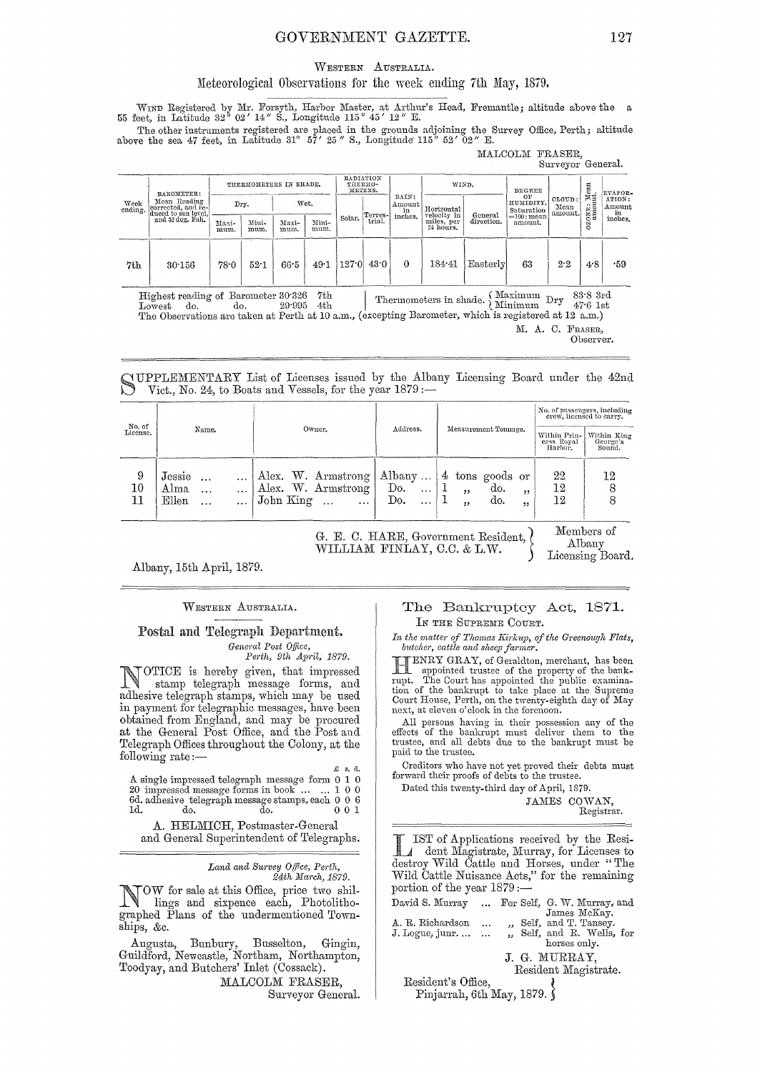## GOVERNMENT GAZETTE. 127

#### WESTERN AUSTRaLIA.

### Meteorological Observations for the week ending 7th May, 1879.

WIND Registered by Mr. Forsyth, Harbor Master, at Arthur's Head, Fremantle; altitude above the a 55 feet, in Latitude 32° 02' 14" S., Longitude 115° 45' 12" E.

The other instruments registered are placed in the grounds adjoining the Survey Office, Perth; altitude above the sea 47 feet, in Latitude 31° 57' 25" S., Longitude 115° 52' 02" E.

MALCOLM FRASER, Surveyor General.

|                                                                                                                                                                                                                                                                                                                               |                                                                               |                        |               |               |                                 |        |                    |                                                                |                                        |                       |                               | Dativior activities       |             |                  |
|-------------------------------------------------------------------------------------------------------------------------------------------------------------------------------------------------------------------------------------------------------------------------------------------------------------------------------|-------------------------------------------------------------------------------|------------------------|---------------|---------------|---------------------------------|--------|--------------------|----------------------------------------------------------------|----------------------------------------|-----------------------|-------------------------------|---------------------------|-------------|------------------|
| Week<br>ending.                                                                                                                                                                                                                                                                                                               | BAROMETER:                                                                    | THERMOMETERS IN SHADE. |               |               | RADIATION<br>THERMO-<br>METERS. |        |                    | WIND.                                                          |                                        | DEGREE                |                               |                           | EVAPOR-     |                  |
|                                                                                                                                                                                                                                                                                                                               | Mean Reading<br>corrected, and re-<br>duced to sea level,<br>and 32 deg, Fah. |                        | Dry.          | Wet.          |                                 |        |                    | RAIN:<br>$\displaystyle \mathop{\mathrm{Amonint}}_{\text{in}}$ | Horizontal                             |                       | OF<br>HUMIDITY,<br>Saturation | CLOUD:<br>Mean<br>amount. | OZONE: Mean | ATION:<br>Amount |
|                                                                                                                                                                                                                                                                                                                               |                                                                               | Maxi-<br>mum.          | Mini-<br>mum. | Maxi-<br>mum. | Mini-<br>mum.                   | Solar. | Terres-l<br>trial. | inches.                                                        | velocity in<br>miles, per<br>24 hours. | General<br>direction. | $=100$ : mean<br>amount.      |                           |             | in<br>inches.    |
| 7th                                                                                                                                                                                                                                                                                                                           | 30.156                                                                        | 78.0                   | 52.1          | $66-5$        | 49.1                            | 127.0  | 43.0               | $\mathbf{0}$                                                   | 184.41                                 | Easterly              | 63                            | 2.2                       | 4.8         | .59              |
| Maximum<br>$83.8$ 3rd<br>7th<br>Highest reading of Barometer 30.326<br>Dry<br>Thermometers in shade. $\}$<br>Minimum<br>$47.6$ 1st<br>4th<br>do.<br>29.995<br>${\rm Lowest}$<br>do.<br>The Observations are taken at Perth at 10 a.m., (excepting Barometer, which is registered at 12 a.m.)<br>M. A. C. FRASER.<br>Observer. |                                                                               |                        |               |               |                                 |        |                    |                                                                |                                        |                       |                               |                           |             |                  |

SUPPLEMENTARY List of Licenses issued by the Albany Licensing Board under the 42nd Vict., No. 24, to Boats and Vessels, for the year  $1879:-$ 

|                    |                                                                                      |                                                                                   |                                                   |                                                          | No. of passengers, including<br>crew, licensed to carry.                   |  |  |
|--------------------|--------------------------------------------------------------------------------------|-----------------------------------------------------------------------------------|---------------------------------------------------|----------------------------------------------------------|----------------------------------------------------------------------------|--|--|
| No. of<br>License. | Name.                                                                                | Owner.                                                                            | Address.                                          | Measurement Tonnage.                                     | Within Prin-<br>Within King<br>cess Royal<br>George's<br>Harboi.<br>Sound. |  |  |
| 9<br>$10\,$        | Jessie<br>$\cdots$<br>Alma<br>$\cdots$<br>$\cdots$<br>$_{\rm Ellen}$<br>$\cdots$<br> | Alex. W. Armstrong<br>Alex. W. Armstrong<br>$John$ $King$<br>$\cdots$<br>$\cdots$ | $ $ Albany<br>Do.<br>$\ddotsc$<br>Do.<br>$\cdots$ | $4$ tons goods or<br>do.<br>22<br>, ,<br>do.<br>,,<br>,, | 22<br>12<br>12<br>12                                                       |  |  |

G. E. C. HARE, Government Resident, *t*  WILLIAM FINLAY, C.C. & L.W.

Members of Albany Licensing Board.

Albany, 15th April, 1879.

#### WESTERN AUSTRaLIA..

## Postal and Telegraph Department. *General Post O/jice,*

*Perth, 9th Ap1'il, 1879.* 

NOTICE is hereby given, that impressed<br>stamp telegraph message forms, and<br>abundance of the manifold means and adhesive telegraph stamps, which may be used in payment for telegraphic messages, have been obtained from England, and may be procured at the General Post Office, and the Post and Telegraph Offices throughout the Colony, at the following rate :— $\qquad \qquad \epsilon$  s. d.

A single impressec1 telegraph message form 0 1 0 20 impressed message forms in book .. , ... 1 0 0 Sd. adhesive telegraph message stamps, each 0 0 6 1c1. do. do. 0 0 1

A. HELMICH, Postmaster-General

and General Superintendent of Telegraphs.

#### Land and Survey Office, Perth, 24th March, 1879.

NOW for sale at this Office, price two shil-<br>lines and circuity of the lines lings and sixpence each, Photolithographed Plans of the nndermentioned Townships, &c.

Augusta, Bunbury, Busselton, Gingin, Guildford, Newcastle, Northam, Northampton, Toodyay, and Butchers' Inlet (Cossack).

MALCOLM FRASER, Surveyor General.

## The Bankruptcy Act, 1871. IN THE SUPREME COURT.

In the matter of Thomas Kirkup, of the Greenough Flats, butcher, cattle and sheep farmer.

butcher, cattle and sheep farmer.<br> **IIENRY GRAY**, of Geraldton, merchant, has been<br>
rupt. The Court has appointed the public examina-<br>
tion of the bankrupt to take place at the Supreme Court House, Perth, on the twenty-eighth day of May next, at eleven o'clock in the forenoon.

All persons having in their possession any of the effects of the bankrupt mnst deliver them to the trnstee, and all debts due to the bankrupt must be paid to the trustee.

Creditors who have not yet proved their debts must forward their proofs of debts to the trustee.

Dated this twenty-third day of April, 1879.

JAMES COWAN, Registrar.

IST of Applications received by the Resi-<br>
dent Magistrate, Murray, for Licenses to<br>
dectroy Wild Cettle and Herses under "The destroy Wild Cattle and Horses, under "The Wild Cattle Nuisance Acts," for the remaining portion of the year  $1879$  :-

| David S. Murray   |          | For Self, G. W. Murray, and |
|-------------------|----------|-----------------------------|
|                   |          | James McKay.                |
| A. R. Richardson  | $\cdots$ | Self, and T. Tansey.        |
| J. Logue, junr.   |          | ., Self, and R. Wells, for  |
|                   |          | horses only.                |
|                   |          | J. G. MURRAY.               |
|                   |          | Resident Magistrate.        |
| Resident's Office |          |                             |

Resident's Office, ( Pinjarrah, 6th May, 1879. S